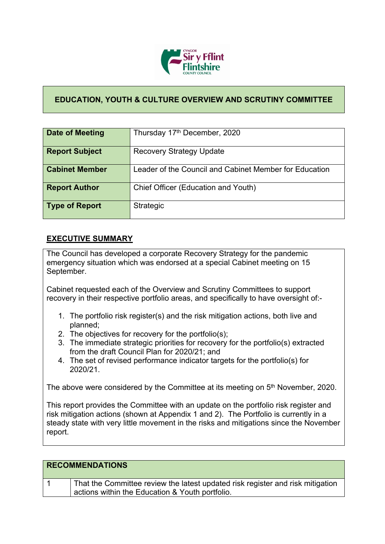

## **EDUCATION, YOUTH & CULTURE OVERVIEW AND SCRUTINY COMMITTEE**

| Date of Meeting       | Thursday 17th December, 2020                           |
|-----------------------|--------------------------------------------------------|
| <b>Report Subject</b> | <b>Recovery Strategy Update</b>                        |
| <b>Cabinet Member</b> | Leader of the Council and Cabinet Member for Education |
| <b>Report Author</b>  | Chief Officer (Education and Youth)                    |
| <b>Type of Report</b> | Strategic                                              |

## **EXECUTIVE SUMMARY**

The Council has developed a corporate Recovery Strategy for the pandemic emergency situation which was endorsed at a special Cabinet meeting on 15 September.

Cabinet requested each of the Overview and Scrutiny Committees to support recovery in their respective portfolio areas, and specifically to have oversight of:-

- 1. The portfolio risk register(s) and the risk mitigation actions, both live and planned;
- 2. The objectives for recovery for the portfolio(s);
- 3. The immediate strategic priorities for recovery for the portfolio(s) extracted from the draft Council Plan for 2020/21; and
- 4. The set of revised performance indicator targets for the portfolio(s) for 2020/21.

The above were considered by the Committee at its meeting on 5<sup>th</sup> November, 2020.

This report provides the Committee with an update on the portfolio risk register and risk mitigation actions (shown at Appendix 1 and 2). The Portfolio is currently in a steady state with very little movement in the risks and mitigations since the November report.

| <b>RECOMMENDATIONS</b>                                                                                                            |
|-----------------------------------------------------------------------------------------------------------------------------------|
| That the Committee review the latest updated risk register and risk mitigation<br>actions within the Education & Youth portfolio. |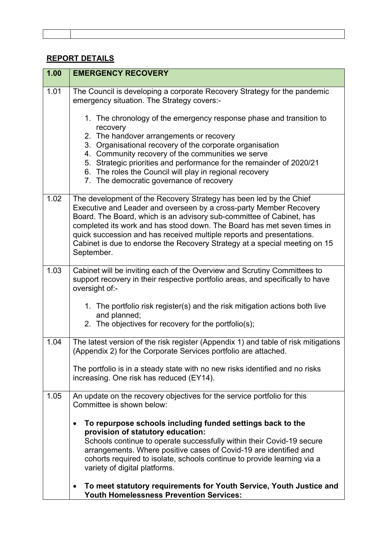## **REPORT DETAILS**

| 1.00 | <b>EMERGENCY RECOVERY</b>                                                                                                                                                                                                                                                                                                                                                                                                                          |
|------|----------------------------------------------------------------------------------------------------------------------------------------------------------------------------------------------------------------------------------------------------------------------------------------------------------------------------------------------------------------------------------------------------------------------------------------------------|
| 1.01 | The Council is developing a corporate Recovery Strategy for the pandemic<br>emergency situation. The Strategy covers:-                                                                                                                                                                                                                                                                                                                             |
|      | 1. The chronology of the emergency response phase and transition to<br>recovery                                                                                                                                                                                                                                                                                                                                                                    |
|      | 2. The handover arrangements or recovery<br>3. Organisational recovery of the corporate organisation                                                                                                                                                                                                                                                                                                                                               |
|      | 4. Community recovery of the communities we serve<br>5. Strategic priorities and performance for the remainder of 2020/21<br>6. The roles the Council will play in regional recovery<br>7. The democratic governance of recovery                                                                                                                                                                                                                   |
| 1.02 | The development of the Recovery Strategy has been led by the Chief<br>Executive and Leader and overseen by a cross-party Member Recovery<br>Board. The Board, which is an advisory sub-committee of Cabinet, has<br>completed its work and has stood down. The Board has met seven times in<br>quick succession and has received multiple reports and presentations.<br>Cabinet is due to endorse the Recovery Strategy at a special meeting on 15 |
|      | September.                                                                                                                                                                                                                                                                                                                                                                                                                                         |
| 1.03 | Cabinet will be inviting each of the Overview and Scrutiny Committees to<br>support recovery in their respective portfolio areas, and specifically to have<br>oversight of:-                                                                                                                                                                                                                                                                       |
|      | 1. The portfolio risk register(s) and the risk mitigation actions both live<br>and planned;<br>2. The objectives for recovery for the portfolio(s);                                                                                                                                                                                                                                                                                                |
| 1.04 | The latest version of the risk register (Appendix 1) and table of risk mitigations<br>(Appendix 2) for the Corporate Services portfolio are attached.                                                                                                                                                                                                                                                                                              |
|      | The portfolio is in a steady state with no new risks identified and no risks<br>increasing. One risk has reduced (EY14).                                                                                                                                                                                                                                                                                                                           |
| 1.05 | An update on the recovery objectives for the service portfolio for this<br>Committee is shown below:                                                                                                                                                                                                                                                                                                                                               |
|      | To repurpose schools including funded settings back to the<br>$\bullet$<br>provision of statutory education:                                                                                                                                                                                                                                                                                                                                       |
|      | Schools continue to operate successfully within their Covid-19 secure<br>arrangements. Where positive cases of Covid-19 are identified and<br>cohorts required to isolate, schools continue to provide learning via a<br>variety of digital platforms.                                                                                                                                                                                             |
|      | To meet statutory requirements for Youth Service, Youth Justice and<br>$\bullet$<br><b>Youth Homelessness Prevention Services:</b>                                                                                                                                                                                                                                                                                                                 |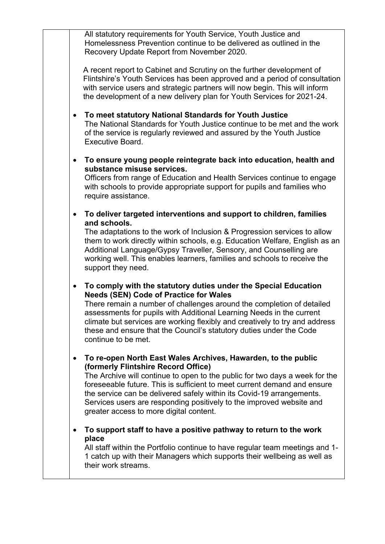All statutory requirements for Youth Service, Youth Justice and Homelessness Prevention continue to be delivered as outlined in the Recovery Update Report from November 2020.

A recent report to Cabinet and Scrutiny on the further development of Flintshire's Youth Services has been approved and a period of consultation with service users and strategic partners will now begin. This will inform the development of a new delivery plan for Youth Services for 2021-24.

- **To meet statutory National Standards for Youth Justice** The National Standards for Youth Justice continue to be met and the work of the service is regularly reviewed and assured by the Youth Justice Executive Board.
- **To ensure young people reintegrate back into education, health and substance misuse services.**

Officers from range of Education and Health Services continue to engage with schools to provide appropriate support for pupils and families who require assistance.

 **To deliver targeted interventions and support to children, families and schools.**

The adaptations to the work of Inclusion & Progression services to allow them to work directly within schools, e.g. Education Welfare, English as an Additional Language/Gypsy Traveller, Sensory, and Counselling are working well. This enables learners, families and schools to receive the support they need.

 **To comply with the statutory duties under the Special Education Needs (SEN) Code of Practice for Wales**

There remain a number of challenges around the completion of detailed assessments for pupils with Additional Learning Needs in the current climate but services are working flexibly and creatively to try and address these and ensure that the Council's statutory duties under the Code continue to be met.

 **To re-open North East Wales Archives, Hawarden, to the public (formerly Flintshire Record Office)**

The Archive will continue to open to the public for two days a week for the foreseeable future. This is sufficient to meet current demand and ensure the service can be delivered safely within its Covid-19 arrangements. Services users are responding positively to the improved website and greater access to more digital content.

 **To support staff to have a positive pathway to return to the work place**

All staff within the Portfolio continue to have regular team meetings and 1- 1 catch up with their Managers which supports their wellbeing as well as their work streams.